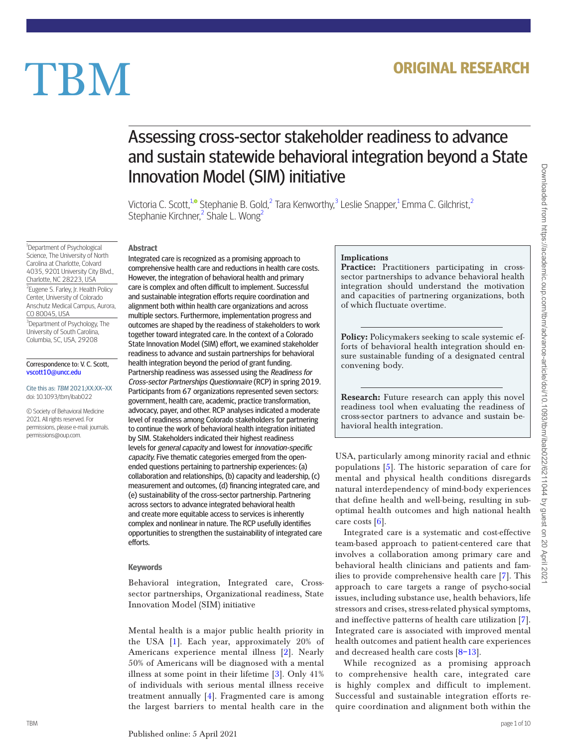# **TBM**

# Assessing cross-sector stakeholder readiness to advance and sustain statewide behavioral integration beyond a State Innovation Model (SIM) initiative

Victoria C. Scott,<sup>[1](#page-0-0)[,](https://orcid.org/0000-0002-8382-283X)©</sup> Stephanie B. Gold,<sup>[2](#page-0-1)</sup> Tara Kenworthy,<sup>[3](#page-0-2)</sup> Leslie Snapper,<sup>1</sup> Emma C. Gilchrist,<sup>2</sup> Stephanie Kirchner,<sup>[2](#page-0-1)</sup> Shale L. Wong<sup>2</sup>

<span id="page-0-1"></span><span id="page-0-0"></span><sup>1</sup>Department of Psychological Science, The University of North Carolina at Charlotte, Colvard 4035, 9201 University City Blvd., Charlotte, NC 28223, USA <sup>2</sup> Eugene S. Farley, Jr. Health Policy Center, University of Colorado Anschutz Medical Campus, Aurora, CO 80045, USA <sup>3</sup>Department of Psychology, The University of South Carolina, Columbia, SC, USA, 29208

#### <span id="page-0-2"></span>Correspondence to: V. C. Scott, [vscott10@uncc.edu](mailto:vscott10@uncc.edu?subject=)

Cite this as: TBM 2021;XX:XX–XX doi: 10.1093/tbm/ibab022

© Society of Behavioral Medicine 2021. All rights reserved. For permissions, please e-mail: journals. permissions@oup.com.

# **Abstract**

Integrated care is recognized as a promising approach to comprehensive health care and reductions in health care costs. However, the integration of behavioral health and primary care is complex and often difficult to implement. Successful and sustainable integration efforts require coordination and alignment both within health care organizations and across multiple sectors. Furthermore, implementation progress and outcomes are shaped by the readiness of stakeholders to work together toward integrated care. In the context of a Colorado State Innovation Model (SIM) effort, we examined stakeholder readiness to advance and sustain partnerships for behavioral health integration beyond the period of grant funding. Partnership readiness was assessed using the Readiness for Cross-sector Partnerships Questionnaire (RCP) in spring 2019. Participants from 67 organizations represented seven sectors: government, health care, academic, practice transformation, advocacy, payer, and other. RCP analyses indicated a moderate level of readiness among Colorado stakeholders for partnering to continue the work of behavioral health integration initiated by SIM. Stakeholders indicated their highest readiness levels for general capacity and lowest for innovation-specific capacity. Five thematic categories emerged from the openended questions pertaining to partnership experiences: (a) collaboration and relationships, (b) capacity and leadership, (c) measurement and outcomes, (d) financing integrated care, and (e) sustainability of the cross-sector partnership. Partnering across sectors to advance integrated behavioral health and create more equitable access to services is inherently complex and nonlinear in nature. The RCP usefully identifies opportunities to strengthen the sustainability of integrated care efforts.

# **Keywords**

Behavioral integration, Integrated care, Crosssector partnerships, Organizational readiness, State Innovation Model (SIM) initiative

Mental health is a major public health priority in the USA [\[1](#page-9-0)]. Each year, approximately 20% of Americans experience mental illness [[2](#page-9-1)]. Nearly 50% of Americans will be diagnosed with a mental illness at some point in their lifetime [[3\]](#page-9-2). Only 41% of individuals with serious mental illness receive treatment annually [\[4](#page-9-3)]. Fragmented care is among the largest barriers to mental health care in the

# Implications

Practice: Practitioners participating in crosssector partnerships to advance behavioral health integration should understand the motivation and capacities of partnering organizations, both of which fluctuate overtime.

Policy: Policymakers seeking to scale systemic efforts of behavioral health integration should ensure sustainable funding of a designated central convening body.

Research: Future research can apply this novel readiness tool when evaluating the readiness of cross-sector partners to advance and sustain behavioral health integration.

USA, particularly among minority racial and ethnic populations [\[5](#page-9-4)]. The historic separation of care for mental and physical health conditions disregards natural interdependency of mind-body experiences that define health and well-being, resulting in suboptimal health outcomes and high national health care costs [\[6](#page-9-5)].

Integrated care is a systematic and cost-effective team-based approach to patient-centered care that involves a collaboration among primary care and behavioral health clinicians and patients and families to provide comprehensive health care [[7\]](#page-9-6). This approach to care targets a range of psycho-social issues, including substance use, health behaviors, life stressors and crises, stress-related physical symptoms, and ineffective patterns of health care utilization [\[7](#page-9-6)]. Integrated care is associated with improved mental health outcomes and patient health care experiences and decreased health care costs  $[8-13]$  $[8-13]$  $[8-13]$ .

While recognized as a promising approach to comprehensive health care, integrated care is highly complex and difficult to implement. Successful and sustainable integration efforts require coordination and alignment both within the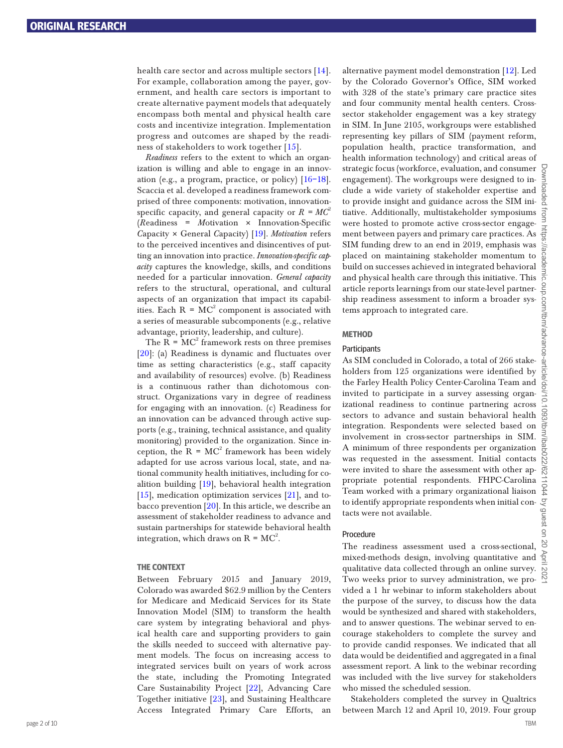health care sector and across multiple sectors [[14\]](#page-9-9). For example, collaboration among the payer, government, and health care sectors is important to create alternative payment models that adequately encompass both mental and physical health care costs and incentivize integration. Implementation progress and outcomes are shaped by the readiness of stakeholders to work together [[15\]](#page-9-10).

*Readiness* refers to the extent to which an organization is willing and able to engage in an innovation (e.g., a program, practice, or policy) [[16](#page-9-11)[–18\]](#page-9-12). Scaccia et al. developed a readiness framework comprised of three components: motivation, innovationspecific capacity, and general capacity or  $R = MC^2$ (*R*eadiness = *M*otivation × Innovation-Specific *C*apacity × General *C*apacity) [[19\]](#page-9-13). *Motivation* refers to the perceived incentives and disincentives of putting an innovation into practice. *Innovation-specific capacity* captures the knowledge, skills, and conditions needed for a particular innovation. *General capacity* refers to the structural, operational, and cultural aspects of an organization that impact its capabilities. Each  $R = MC^2$  component is associated with a series of measurable subcomponents (e.g., relative advantage, priority, leadership, and culture).

The  $R = MC^2$  framework rests on three premises [[20\]](#page-9-14): (a) Readiness is dynamic and fluctuates over time as setting characteristics (e.g., staff capacity and availability of resources) evolve. (b) Readiness is a continuous rather than dichotomous construct. Organizations vary in degree of readiness for engaging with an innovation. (c) Readiness for an innovation can be advanced through active supports (e.g., training, technical assistance, and quality monitoring) provided to the organization. Since inception, the  $R = MC^2$  framework has been widely adapted for use across various local, state, and national community health initiatives, including for coalition building [[19](#page-9-13)], behavioral health integration  $[15]$  $[15]$ , medication optimization services  $[21]$  $[21]$  $[21]$ , and tobacco prevention [\[20](#page-9-14)]. In this article, we describe an assessment of stakeholder readiness to advance and sustain partnerships for statewide behavioral health integration, which draws on R =  $MC^2$ .

#### **THE CONTEXT**

Between February 2015 and January 2019, Colorado was awarded \$62.9 million by the Centers for Medicare and Medicaid Services for its State Innovation Model (SIM) to transform the health care system by integrating behavioral and physical health care and supporting providers to gain the skills needed to succeed with alternative payment models. The focus on increasing access to integrated services built on years of work across the state, including the Promoting Integrated Care Sustainability Project [\[22](#page-9-16)], Advancing Care Together initiative [[23\]](#page-9-17), and Sustaining Healthcare Access Integrated Primary Care Efforts, an

alternative payment model demonstration [\[12\]](#page-9-18). Led by the Colorado Governor's Office, SIM worked with 328 of the state's primary care practice sites and four community mental health centers. Crosssector stakeholder engagement was a key strategy in SIM. In June 2105, workgroups were established representing key pillars of SIM (payment reform, population health, practice transformation, and health information technology) and critical areas of strategic focus (workforce, evaluation, and consumer engagement). The workgroups were designed to include a wide variety of stakeholder expertise and to provide insight and guidance across the SIM ini- $\frac{8}{9}$ tiative. Additionally, multistakeholder symposiums were hosted to promote active cross-sector engagement between payers and primary care practices. As SIM funding drew to an end in 2019, emphasis was placed on maintaining stakeholder momentum to build on successes achieved in integrated behavioral and physical health care through this initiative. This article reports learnings from our state-level partnership readiness assessment to inform a broader systems approach to integrated care.

# **METHOD**

# **Participants**

As SIM concluded in Colorado, a total of 266 stakeholders from 125 organizations were identified by the Farley Health Policy Center-Carolina Team and invited to participate in a survey assessing organizational readiness to continue partnering across sectors to advance and sustain behavioral health integration. Respondents were selected based on involvement in cross-sector partnerships in SIM. A minimum of three respondents per organization was requested in the assessment. Initial contacts were invited to share the assessment with other appropriate potential respondents. FHPC-Carolina Team worked with a primary organizational liaison to identify appropriate respondents when initial contacts were not available.

# Procedure

The readiness assessment used a cross-sectional, mixed-methods design, involving quantitative and qualitative data collected through an online survey. Two weeks prior to survey administration, we provided a 1 hr webinar to inform stakeholders about the purpose of the survey, to discuss how the data would be synthesized and shared with stakeholders, and to answer questions. The webinar served to encourage stakeholders to complete the survey and to provide candid responses. We indicated that all data would be deidentified and aggregated in a final assessment report. A link to the webinar recording was included with the live survey for stakeholders who missed the scheduled session.

Stakeholders completed the survey in Qualtrics between March 12 and April 10, 2019. Four group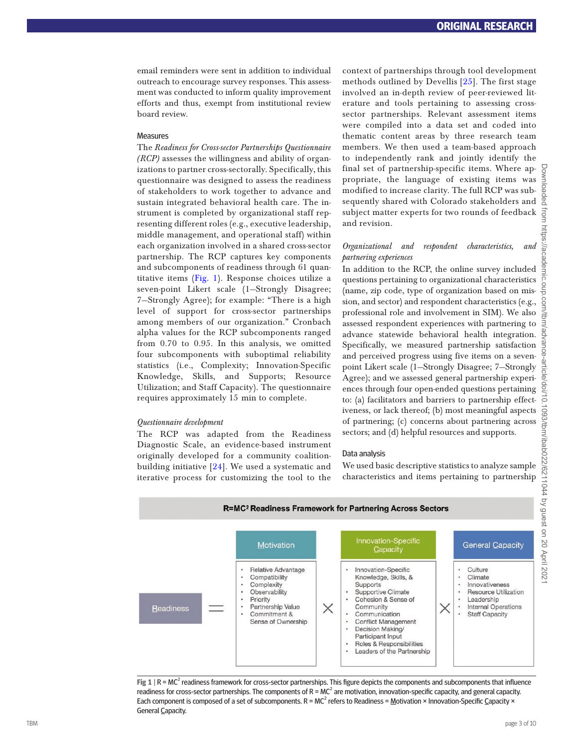email reminders were sent in addition to individual outreach to encourage survey responses. This assessment was conducted to inform quality improvement efforts and thus, exempt from institutional review board review.

#### **Measures**

The *Readiness for Cross-sector Partnerships Questionnaire (RCP)* assesses the willingness and ability of organizations to partner cross-sectorally. Specifically, this questionnaire was designed to assess the readiness of stakeholders to work together to advance and sustain integrated behavioral health care. The instrument is completed by organizational staff representing different roles (e.g., executive leadership, middle management, and operational staff) within each organization involved in a shared cross-sector partnership. The RCP captures key components and subcomponents of readiness through 61 quantitative items ([Fig. 1](#page-2-0)). Response choices utilize a seven-point Likert scale (1—Strongly Disagree; 7—Strongly Agree); for example: "There is a high level of support for cross-sector partnerships among members of our organization." Cronbach alpha values for the RCP subcomponents ranged from 0.70 to 0.95. In this analysis, we omitted four subcomponents with suboptimal reliability statistics (i.e., Complexity; Innovation-Specific Knowledge, Skills, and Supports; Resource Utilization; and Staff Capacity). The questionnaire requires approximately 15 min to complete.

# *Questionnaire development*

The RCP was adapted from the Readiness Diagnostic Scale, an evidence-based instrument originally developed for a community coalitionbuilding initiative [[24](#page-9-19)]. We used a systematic and iterative process for customizing the tool to the

context of partnerships through tool development methods outlined by Devellis [[25\]](#page-9-20). The first stage involved an in-depth review of peer-reviewed literature and tools pertaining to assessing crosssector partnerships. Relevant assessment items were compiled into a data set and coded into thematic content areas by three research team members. We then used a team-based approach to independently rank and jointly identify the final set of partnership-specific items. Where appropriate, the language of existing items was modified to increase clarity. The full RCP was subsequently shared with Colorado stakeholders and subject matter experts for two rounds of feedback and revision.

# *Organizational and respondent characteristics, and partnering experiences*

In addition to the RCP, the online survey included questions pertaining to organizational characteristics (name, zip code, type of organization based on mission, and sector) and respondent characteristics (e.g., professional role and involvement in SIM). We also assessed respondent experiences with partnering to advance statewide behavioral health integration. Specifically, we measured partnership satisfaction and perceived progress using five items on a sevenpoint Likert scale (1—Strongly Disagree; 7—Strongly Agree); and we assessed general partnership experiences through four open-ended questions pertaining to: (a) facilitators and barriers to partnership effectiveness, or lack thereof; (b) most meaningful aspects of partnering; (c) concerns about partnering across sectors; and (d) helpful resources and supports.

#### Data analysis

We used basic descriptive statistics to analyze sample characteristics and items pertaining to partnership



<span id="page-2-0"></span>Fig 1 | R = MC<sup>2</sup> readiness framework for cross-sector partnerships. This figure depicts the components and subcomponents that influence readiness for cross-sector partnerships. The components of  $R = MC^2$  are motivation, innovation-specific capacity, and general capacity. Each component is composed of a set of subcomponents.  $R = MC^2$  refers to Readiness =  $M$ otivation × Innovation-Specific Capacity × General Capacity.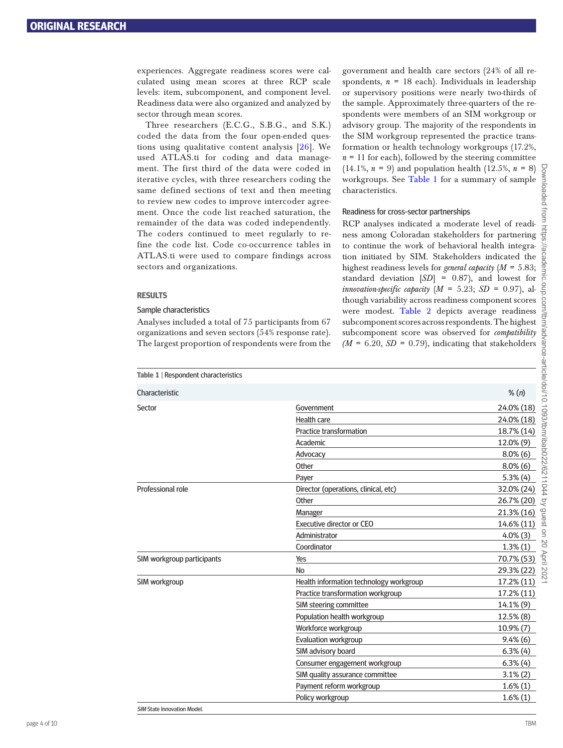experiences. Aggregate readiness scores were calculated using mean scores at three RCP scale levels: item, subcomponent, and component level. Readiness data were also organized and analyzed by sector through mean scores.

Three researchers (E.C.G., S.B.G., and S.K.) coded the data from the four open-ended questions using qualitative content analysis [[26](#page-9-21)]. We used ATLAS.ti for coding and data management. The first third of the data were coded in iterative cycles, with three researchers coding the same defined sections of text and then meeting to review new codes to improve intercoder agreement. Once the code list reached saturation, the remainder of the data was coded independently. The coders continued to meet regularly to refine the code list. Code co-occurrence tables in ATLAS.ti were used to compare findings across sectors and organizations.

# **RESULTS**

# Sample characteristics

Analyses included a total of 75 participants from 67 organizations and seven sectors (54% response rate). The largest proportion of respondents were from the government and health care sectors (24% of all respondents,  $n = 18$  each). Individuals in leadership or supervisory positions were nearly two-thirds of the sample. Approximately three-quarters of the respondents were members of an SIM workgroup or advisory group. The majority of the respondents in the SIM workgroup represented the practice transformation or health technology workgroups (17.2%,  $n = 11$  for each), followed by the steering committee  $(14.1\%, n = 9)$  and population health  $(12.5\%, n = 8)$ workgroups. See [Table 1](#page-3-0) for a summary of sample characteristics.

# Readiness for cross-sector partnerships

RCP analyses indicated a moderate level of readiness among Coloradan stakeholders for partnering to continue the work of behavioral health integration initiated by SIM. Stakeholders indicated the highest readiness levels for *general capacity* (*M* = 5.83; standard deviation [*SD*] = 0.87), and lowest for *innovation-specific capacity*  $(M = 5.23; SD = 0.97)$ , although variability across readiness component scores were modest. [Table 2](#page-4-0) depicts average readiness subcomponent scores across respondents. The highest subcomponent score was observed for *compatibility*   $(M = 6.20, SD = 0.79)$ , indicating that stakeholders

<span id="page-3-0"></span>

| Table 1   Respondent characteristics |                                         |                |
|--------------------------------------|-----------------------------------------|----------------|
| Characteristic                       |                                         | % (n)          |
| Sector                               | Government                              | 24.0% (18)     |
|                                      | <b>Health care</b>                      | 24.0% (18)     |
|                                      | <b>Practice transformation</b>          | 18.7% (14)     |
|                                      | Academic                                | 12.0% (9)      |
|                                      | Advocacy                                | $8.0\%$ (6)    |
|                                      | Other                                   | $8.0\%$ (6)    |
|                                      | Payer                                   | $5.3\%$ (4)    |
| Professional role                    | Director (operations, clinical, etc)    | 32.0% (24)     |
|                                      | Other                                   | 26.7% (20)     |
|                                      | Manager                                 | 21.3% (16)     |
|                                      | Executive director or CEO               | 14.6% (11)     |
|                                      | Administrator                           | $4.0\%$ (3)    |
|                                      | Coordinator                             | $1.3\%(1)$     |
| SIM workgroup participants           | Yes                                     | 70.7% (53)     |
|                                      | No                                      | 29.3% (22)     |
| SIM workgroup                        | Health information technology workgroup | 17.2% (11)     |
|                                      | Practice transformation workgroup       | 17.2% (11)     |
|                                      | SIM steering committee                  | 14.1% (9)      |
|                                      | Population health workgroup             | 12.5% (8)      |
|                                      | Workforce workgroup                     | $10.9\%$ $(7)$ |
|                                      | Evaluation workgroup                    | $9.4\%$ (6)    |
|                                      | SIM advisory board                      | $6.3\%$ (4)    |
|                                      | Consumer engagement workgroup           | $6.3\%$ (4)    |
|                                      | SIM quality assurance committee         | $3.1\%$ (2)    |
|                                      | Payment reform workgroup                | $1.6\%(1)$     |
|                                      | Policy workgroup                        | $1.6\%$ $(1)$  |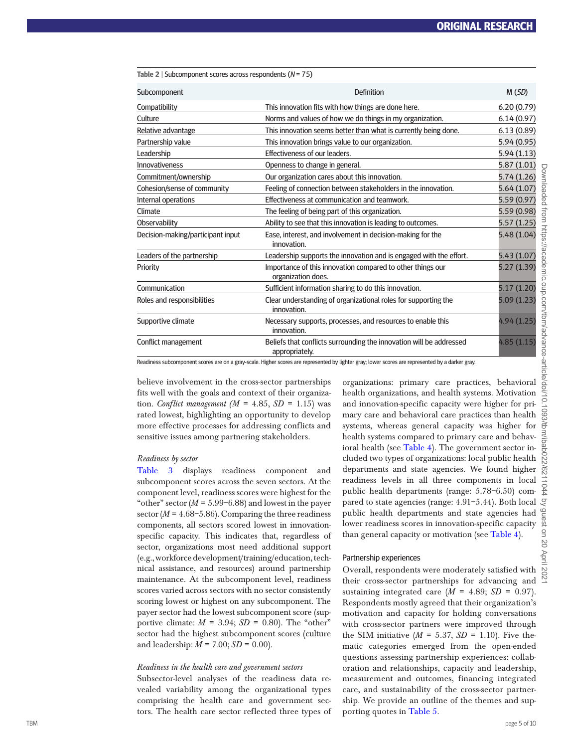<span id="page-4-0"></span>

| Table 2   Subcomponent scores across respondents ( $N = 75$ ) |                                                                                       |             |
|---------------------------------------------------------------|---------------------------------------------------------------------------------------|-------------|
| Subcomponent                                                  | <b>Definition</b>                                                                     | M(SD)       |
| Compatibility                                                 | This innovation fits with how things are done here.                                   | 6.20(0.79)  |
| Culture                                                       | Norms and values of how we do things in my organization.                              | 6.14(0.97)  |
| Relative advantage                                            | This innovation seems better than what is currently being done.                       | 6.13(0.89)  |
| Partnership value                                             | This innovation brings value to our organization.                                     | 5.94 (0.95) |
| Leadership                                                    | Effectiveness of our leaders.                                                         | 5.94 (1.13) |
| Innovativeness                                                | Openness to change in general.                                                        | 5.87 (1.01) |
| Commitment/ownership                                          | Our organization cares about this innovation.                                         | 5.74 (1.26) |
| Cohesion/sense of community                                   | Feeling of connection between stakeholders in the innovation.                         | 5.64(1.07)  |
| Internal operations                                           | Effectiveness at communication and teamwork.                                          | 5.59 (0.97) |
| Climate                                                       | The feeling of being part of this organization.                                       | 5.59 (0.98) |
| Observability                                                 | Ability to see that this innovation is leading to outcomes.                           | 5.57 (1.25) |
| Decision-making/participant input                             | Ease, interest, and involvement in decision-making for the<br>innovation.             | 5.48 (1.04) |
| Leaders of the partnership                                    | Leadership supports the innovation and is engaged with the effort.                    | 5.43 (1.07) |
| Priority                                                      | Importance of this innovation compared to other things our<br>organization does.      | 5.27 (1.39) |
| Communication                                                 | Sufficient information sharing to do this innovation.                                 | 5.17 (1.20) |
| Roles and responsibilities                                    | Clear understanding of organizational roles for supporting the<br>innovation.         | 5.09(1.23)  |
| Supportive climate                                            | Necessary supports, processes, and resources to enable this<br>innovation.            | 4.94 (1.25) |
| Conflict management                                           | Beliefs that conflicts surrounding the innovation will be addressed<br>appropriately. | 4.85(1.15)  |

Readiness subcomponent scores are on a gray-scale. Higher scores are represented by lighter gray; lower scores are represented by a darker gray

believe involvement in the cross-sector partnerships fits well with the goals and context of their organization. *Conflict management* ( $M = 4.85$ ,  $SD = 1.15$ ) was rated lowest, highlighting an opportunity to develop more effective processes for addressing conflicts and sensitive issues among partnering stakeholders.

### *Readiness by sector*

[Table 3](#page-5-0) displays readiness component and subcomponent scores across the seven sectors. At the component level, readiness scores were highest for the "other" sector  $(M = 5.99 - 6.88)$  and lowest in the payer sector ( $M = 4.68 - 5.86$ ). Comparing the three readiness components, all sectors scored lowest in innovationspecific capacity. This indicates that, regardless of sector, organizations most need additional support (e.g., workforce development/training/education, technical assistance, and resources) around partnership maintenance. At the subcomponent level, readiness scores varied across sectors with no sector consistently scoring lowest or highest on any subcomponent. The payer sector had the lowest subcomponent score (supportive climate:  $M = 3.94$ ;  $SD = 0.80$ ). The "other" sector had the highest subcomponent scores (culture and leadership:  $M = 7.00$ ;  $SD = 0.00$ ).

#### *Readiness in the health care and government sectors*

Subsector-level analyses of the readiness data revealed variability among the organizational types comprising the health care and government sectors. The health care sector reflected three types of organizations: primary care practices, behavioral health organizations, and health systems. Motivation and innovation-specific capacity were higher for primary care and behavioral care practices than health systems, whereas general capacity was higher for health systems compared to primary care and behavioral health (see [Table 4\)](#page-6-0). The government sector included two types of organizations: local public health departments and state agencies. We found higher readiness levels in all three components in local public health departments (range: 5.78–6.50) compared to state agencies (range: 4.91–5.44). Both local public health departments and state agencies had lower readiness scores in innovation-specific capacity than general capacity or motivation (see [Table 4](#page-6-0)).

#### Partnership experiences

Overall, respondents were moderately satisfied with their cross-sector partnerships for advancing and sustaining integrated care  $(M = 4.89; SD = 0.97)$ . Respondents mostly agreed that their organization's motivation and capacity for holding conversations with cross-sector partners were improved through the SIM initiative  $(M = 5.37, SD = 1.10)$ . Five thematic categories emerged from the open-ended questions assessing partnership experiences: collaboration and relationships, capacity and leadership, measurement and outcomes, financing integrated care, and sustainability of the cross-sector partnership. We provide an outline of the themes and supporting quotes in [Table 5](#page-7-0).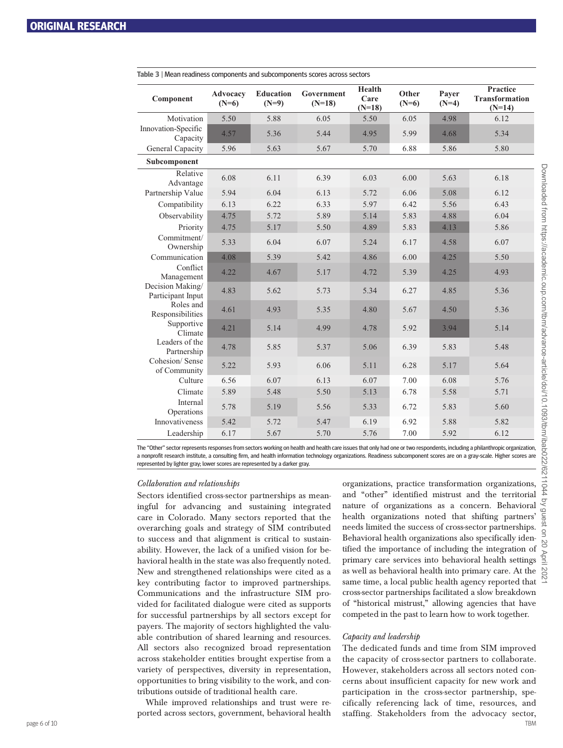| Component                             | Advocacv<br>$(N=6)$ | <b>Education</b><br>$(N=9)$ | Government<br>$(N=18)$ | Health<br>Care<br>$(N=18)$ | Other<br>$(N=6)$ | Payer<br>$(N=4)$ | Practice<br><b>Transformation</b><br>$(N=14)$ |
|---------------------------------------|---------------------|-----------------------------|------------------------|----------------------------|------------------|------------------|-----------------------------------------------|
| Motivation                            | 5.50                | 5.88                        | 6.05                   | 5.50                       | 6.05             | 4.98             | 6.12                                          |
| Innovation-Specific<br>Capacity       | 4.57                | 5.36                        | 5.44                   | 4.95                       | 5.99             | 4.68             | 5.34                                          |
| General Capacity                      | 5.96                | 5.63                        | 5.67                   | 5.70                       | 6.88             | 5.86             | 5.80                                          |
| Subcomponent                          |                     |                             |                        |                            |                  |                  |                                               |
| Relative<br>Advantage                 | 6.08                | 6.11                        | 6.39                   | 6.03                       | 6.00             | 5.63             | 6.18                                          |
| Partnership Value                     | 5.94                | 6.04                        | 6.13                   | 5.72                       | 6.06             | 5.08             | 6.12                                          |
| Compatibility                         | 6.13                | 6.22                        | 6.33                   | 5.97                       | 6.42             | 5.56             | 6.43                                          |
| Observability                         | 4.75                | 5.72                        | 5.89                   | 5.14                       | 5.83             | 4.88             | 6.04                                          |
| Priority                              | 4.75                | 5.17                        | 5.50                   | 4.89                       | 5.83             | 4.13             | 5.86                                          |
| Commitment/<br>Ownership              | 5.33                | 6.04                        | 6.07                   | 5.24                       | 6.17             | 4.58             | 6.07                                          |
| Communication                         | 4.08                | 5.39                        | 5.42                   | 4.86                       | 6.00             | 4.25             | 5.50                                          |
| Conflict<br>Management                | 4.22                | 4.67                        | 5.17                   | 4.72                       | 5.39             | 4.25             | 4.93                                          |
| Decision Making/<br>Participant Input | 4.83                | 5.62                        | 5.73                   | 5.34                       | 6.27             | 4.85             | 5.36                                          |
| Roles and<br>Responsibilities         | 4.61                | 4.93                        | 5.35                   | 4.80                       | 5.67             | 4.50             | 5.36                                          |
| Supportive<br>Climate                 | 4.21                | 5.14                        | 4.99                   | 4.78                       | 5.92             | 3.94             | 5.14                                          |
| Leaders of the<br>Partnership         | 4.78                | 5.85                        | 5.37                   | 5.06                       | 6.39             | 5.83             | 5.48                                          |
| Cohesion/Sense<br>of Community        | 5.22                | 5.93                        | 6.06                   | 5.11                       | 6.28             | 5.17             | 5.64                                          |
| Culture                               | 6.56                | 6.07                        | 6.13                   | 6.07                       | 7.00             | 6.08             | 5.76                                          |
| Climate                               | 5.89                | 5.48                        | 5.50                   | 5.13                       | 6.78             | 5.58             | 5.71                                          |
| Internal<br>Operations                | 5.78                | 5.19                        | 5.56                   | 5.33                       | 6.72             | 5.83             | 5.60                                          |
| Innovativeness                        | 5.42                | 5.72                        | 5.47                   | 6.19                       | 6.92             | 5.88             | 5.82                                          |
| Leadership                            | 6.17                | 5.67                        | 5.70                   | 5.76                       | 7.00             | 5.92             | 6.12                                          |

<span id="page-5-0"></span>**Table 3** | Mean readiness components and subcomponents scores across sectors

The "Other" sector represents responses from sectors working on health and health care issues that only had one or two respondents, including a philanthropic organization, a nonprofit research institute, a consulting firm, and health information technology organizations. Readiness subcomponent scores are on a gray-scale. Higher scores are represented by lighter gray; lower scores are represented by a darker gray.

# *Collaboration and relationships*

Sectors identified cross-sector partnerships as meaningful for advancing and sustaining integrated care in Colorado. Many sectors reported that the overarching goals and strategy of SIM contributed to success and that alignment is critical to sustainability. However, the lack of a unified vision for behavioral health in the state was also frequently noted. New and strengthened relationships were cited as a key contributing factor to improved partnerships. Communications and the infrastructure SIM provided for facilitated dialogue were cited as supports for successful partnerships by all sectors except for payers. The majority of sectors highlighted the valuable contribution of shared learning and resources. All sectors also recognized broad representation across stakeholder entities brought expertise from a variety of perspectives, diversity in representation, opportunities to bring visibility to the work, and contributions outside of traditional health care.

While improved relationships and trust were reported across sectors, government, behavioral health organizations, practice transformation organizations, and "other" identified mistrust and the territorial nature of organizations as a concern. Behavioral health organizations noted that shifting partners' needs limited the success of cross-sector partnerships. Behavioral health organizations also specifically identified the importance of including the integration of primary care services into behavioral health settings as well as behavioral health into primary care. At the same time, a local public health agency reported that cross-sector partnerships facilitated a slow breakdown of "historical mistrust," allowing agencies that have competed in the past to learn how to work together.

# *Capacity and leadership*

page 6 of 10 TBM The dedicated funds and time from SIM improved the capacity of cross-sector partners to collaborate. However, stakeholders across all sectors noted concerns about insufficient capacity for new work and participation in the cross-sector partnership, specifically referencing lack of time, resources, and staffing. Stakeholders from the advocacy sector,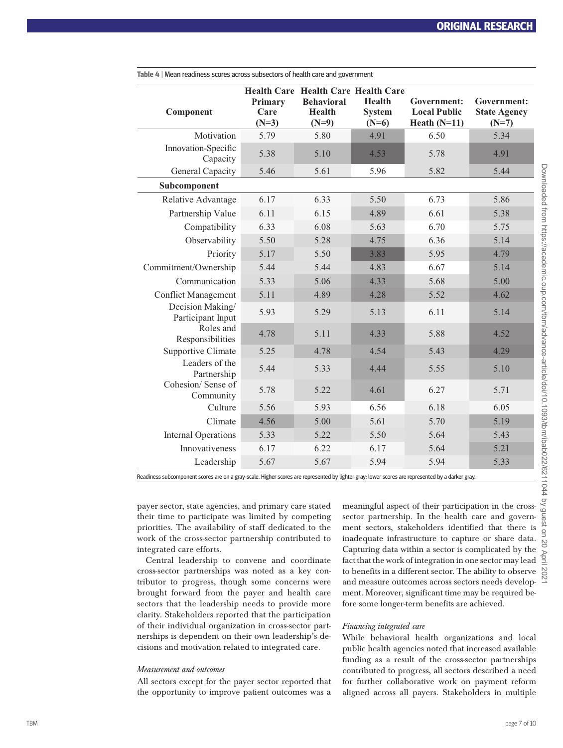| <b>Health Care Health Care Health Care</b> |                            |                                               |                                           |                                                      |                                               |
|--------------------------------------------|----------------------------|-----------------------------------------------|-------------------------------------------|------------------------------------------------------|-----------------------------------------------|
| Component                                  | Primary<br>Care<br>$(N=3)$ | <b>Behavioral</b><br><b>Health</b><br>$(N=9)$ | <b>Health</b><br><b>System</b><br>$(N=6)$ | Government:<br><b>Local Public</b><br>Heath $(N=11)$ | Government:<br><b>State Agency</b><br>$(N=7)$ |
| Motivation                                 | 5.79                       | 5.80                                          | 4.91                                      | 6.50                                                 | 5.34                                          |
| Innovation-Specific<br>Capacity            | 5.38                       | 5.10                                          | 4.53                                      | 5.78                                                 | 4.91                                          |
| General Capacity                           | 5.46                       | 5.61                                          | 5.96                                      | 5.82                                                 | 5.44                                          |
| Subcomponent                               |                            |                                               |                                           |                                                      |                                               |
| Relative Advantage                         | 6.17                       | 6.33                                          | 5.50                                      | 6.73                                                 | 5.86                                          |
| Partnership Value                          | 6.11                       | 6.15                                          | 4.89                                      | 6.61                                                 | 5.38                                          |
| Compatibility                              | 6.33                       | 6.08                                          | 5.63                                      | 6.70                                                 | 5.75                                          |
| Observability                              | 5.50                       | 5.28                                          | 4.75                                      | 6.36                                                 | 5.14                                          |
| Priority                                   | 5.17                       | 5.50                                          | 3.83                                      | 5.95                                                 | 4.79                                          |
| Commitment/Ownership                       | 5.44                       | 5.44                                          | 4.83                                      | 6.67                                                 | 5.14                                          |
| Communication                              | 5.33                       | 5.06                                          | 4.33                                      | 5.68                                                 | 5.00                                          |
| <b>Conflict Management</b>                 | 5.11                       | 4.89                                          | 4.28                                      | 5.52                                                 | 4.62                                          |
| Decision Making/<br>Participant Input      | 5.93                       | 5.29                                          | 5.13                                      | 6.11                                                 | 5.14                                          |
| Roles and<br>Responsibilities              | 4.78                       | 5.11                                          | 4.33                                      | 5.88                                                 | 4.52                                          |
| Supportive Climate                         | 5.25                       | 4.78                                          | 4.54                                      | 5.43                                                 | 4.29                                          |
| Leaders of the<br>Partnership              | 5.44                       | 5.33                                          | 4.44                                      | 5.55                                                 | 5.10                                          |
| Cohesion/Sense of<br>Community             | 5.78                       | 5.22                                          | 4.61                                      | 6.27                                                 | 5.71                                          |
| Culture                                    | 5.56                       | 5.93                                          | 6.56                                      | 6.18                                                 | 6.05                                          |
| Climate                                    | 4.56                       | 5.00                                          | 5.61                                      | 5.70                                                 | 5.19                                          |
| <b>Internal Operations</b>                 | 5.33                       | 5.22                                          | 5.50                                      | 5.64                                                 | 5.43                                          |
| Innovativeness                             | 6.17                       | 6.22                                          | 6.17                                      | 5.64                                                 | 5.21                                          |
| Leadership                                 | 5.67                       | 5.67                                          | 5.94                                      | 5.94                                                 | 5.33                                          |

<span id="page-6-0"></span>**Table 4** | Mean readiness scores across subsectors of health care and government

Readiness subcomponent scores are on a gray-scale. Higher scores are represented by lighter gray; lower scores are represented by a darker gray.

payer sector, state agencies, and primary care stated their time to participate was limited by competing priorities. The availability of staff dedicated to the work of the cross-sector partnership contributed to integrated care efforts.

Central leadership to convene and coordinate cross-sector partnerships was noted as a key contributor to progress, though some concerns were brought forward from the payer and health care sectors that the leadership needs to provide more clarity. Stakeholders reported that the participation of their individual organization in cross-sector partnerships is dependent on their own leadership's decisions and motivation related to integrated care.

# *Measurement and outcomes*

All sectors except for the payer sector reported that the opportunity to improve patient outcomes was a

meaningful aspect of their participation in the crosssector partnership. In the health care and government sectors, stakeholders identified that there is inadequate infrastructure to capture or share data. Capturing data within a sector is complicated by the fact that the work of integration in one sector may lead to benefits in a different sector. The ability to observe and measure outcomes across sectors needs development. Moreover, significant time may be required before some longer-term benefits are achieved.

# *Financing integrated care*

While behavioral health organizations and local public health agencies noted that increased available funding as a result of the cross-sector partnerships contributed to progress, all sectors described a need for further collaborative work on payment reform aligned across all payers. Stakeholders in multiple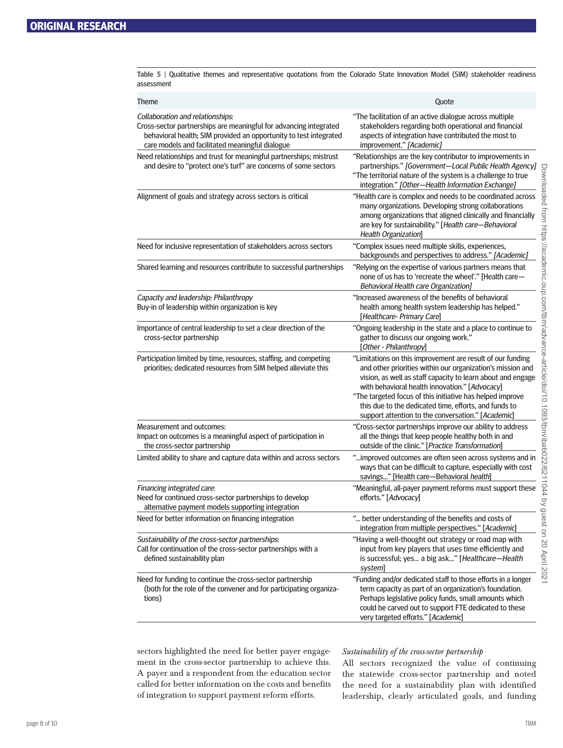<span id="page-7-0"></span>**Table 5** | Qualitative themes and representative quotations from the Colorado State Innovation Model (SIM) stakeholder readiness assessment

| <b>Theme</b>                                                                                                                                                                                                                  | Quote                                                                                                                                                                                                                                                                                                                                                                                                                 |
|-------------------------------------------------------------------------------------------------------------------------------------------------------------------------------------------------------------------------------|-----------------------------------------------------------------------------------------------------------------------------------------------------------------------------------------------------------------------------------------------------------------------------------------------------------------------------------------------------------------------------------------------------------------------|
| Collaboration and relationships:<br>Cross-sector partnerships are meaningful for advancing integrated<br>behavioral health; SIM provided an opportunity to test integrated<br>care models and facilitated meaningful dialogue | "The facilitation of an active dialogue across multiple<br>stakeholders regarding both operational and financial<br>aspects of integration have contributed the most to<br>improvement." [Academic]                                                                                                                                                                                                                   |
| Need relationships and trust for meaningful partnerships; mistrust<br>and desire to "protect one's turf" are concerns of some sectors                                                                                         | "Relationships are the key contributor to improvements in<br>partnerships." [Government-Local Public Health Agency]<br>"The territorial nature of the system is a challenge to true<br>integration." [Other-Health Information Exchange]                                                                                                                                                                              |
| Alignment of goals and strategy across sectors is critical                                                                                                                                                                    | "Health care is complex and needs to be coordinated across<br>many organizations. Developing strong collaborations<br>among organizations that aligned clinically and financially<br>are key for sustainability." [Health care-Behavioral<br>Health Organization                                                                                                                                                      |
| Need for inclusive representation of stakeholders across sectors                                                                                                                                                              | "Complex issues need multiple skills, experiences,<br>backgrounds and perspectives to address." [Academic]                                                                                                                                                                                                                                                                                                            |
| Shared learning and resources contribute to successful partnerships                                                                                                                                                           | "Relying on the expertise of various partners means that<br>none of us has to 'recreate the wheel'." [Health care-<br><b>Behavioral Health care Organization]</b>                                                                                                                                                                                                                                                     |
| Capacity and leadership: Philanthropy<br>Buy-in of leadership within organization is key                                                                                                                                      | "Increased awareness of the benefits of behavioral<br>health among health system leadership has helped."<br>[Healthcare- Primary Care]                                                                                                                                                                                                                                                                                |
| Importance of central leadership to set a clear direction of the<br>cross-sector partnership                                                                                                                                  | "Ongoing leadership in the state and a place to continue to<br>gather to discuss our ongoing work."<br>[Other - Philanthropy]                                                                                                                                                                                                                                                                                         |
| Participation limited by time, resources, staffing, and competing<br>priorities; dedicated resources from SIM helped alleviate this                                                                                           | "Limitations on this improvement are result of our funding<br>and other priorities within our organization's mission and<br>vision, as well as staff capacity to learn about and engage<br>with behavioral health innovation." [Advocacy]<br>"The targeted focus of this initiative has helped improve<br>this due to the dedicated time, efforts, and funds to<br>support attention to the conversation." [Academic] |
| Measurement and outcomes:<br>Impact on outcomes is a meaningful aspect of participation in<br>the cross-sector partnership                                                                                                    | "Cross-sector partnerships improve our ability to address<br>all the things that keep people healthy both in and<br>outside of the clinic." [Practice Transformation]                                                                                                                                                                                                                                                 |
| Limited ability to share and capture data within and across sectors                                                                                                                                                           | " improved outcomes are often seen across systems and in<br>ways that can be difficult to capture, especially with cost<br>savings" [Health care-Behavioral health]                                                                                                                                                                                                                                                   |
| Financing integrated care:<br>Need for continued cross-sector partnerships to develop<br>alternative payment models supporting integration                                                                                    | "Meaningful, all-payer payment reforms must support these<br>efforts." [Advocacy]                                                                                                                                                                                                                                                                                                                                     |
| Need for better information on financing integration                                                                                                                                                                          | " better understanding of the benefits and costs of<br>integration from multiple perspectives." [Academic]                                                                                                                                                                                                                                                                                                            |
| Sustainability of the cross-sector partnerships:<br>Call for continuation of the cross-sector partnerships with a<br>defined sustainability plan                                                                              | "Having a well-thought out strategy or road map with<br>input from key players that uses time efficiently and<br>is successful; yes a big ask" [Healthcare-Health<br>system]                                                                                                                                                                                                                                          |
| Need for funding to continue the cross-sector partnership<br>(both for the role of the convener and for participating organiza-<br>tions)                                                                                     | "Funding and/or dedicated staff to those efforts in a longer<br>term capacity as part of an organization's foundation.<br>Perhaps legislative policy funds, small amounts which<br>could be carved out to support FTE dedicated to these<br>very targeted efforts." [Academic]                                                                                                                                        |

sectors highlighted the need for better payer engagement in the cross-sector partnership to achieve this. A payer and a respondent from the education sector called for better information on the costs and benefits of integration to support payment reform efforts.

# *Sustainability of the cross-sector partnership*

All sectors recognized the value of continuing the statewide cross-sector partnership and noted the need for a sustainability plan with identified leadership, clearly articulated goals, and funding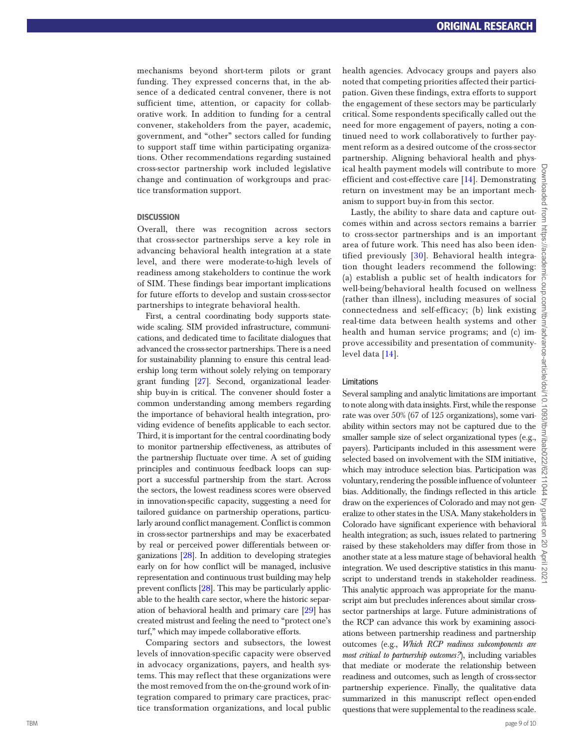mechanisms beyond short-term pilots or grant funding. They expressed concerns that, in the ab sence of a dedicated central convener, there is not sufficient time, attention, or capacity for collaborative work. In addition to funding for a central convener, stakeholders from the payer, academic, government, and "other" sectors called for funding to support staff time within participating organizations. Other recommendations regarding sustained cross-sector partnership work included legislative change and continuation of workgroups and prac tice transformation support.

# **DISCUSSION**

Overall, there was recognition across sectors that cross-sector partnerships serve a key role in advancing behavioral health integration at a state level, and there were moderate-to-high levels of readiness among stakeholders to continue the work of SIM. These findings bear important implications for future efforts to develop and sustain cross-sector partnerships to integrate behavioral health.

First, a central coordinating body supports statewide scaling. SIM provided infrastructure, communi cations, and dedicated time to facilitate dialogues that advanced the cross-sector partnerships. There is a need for sustainability planning to ensure this central lead ership long term without solely relying on temporary grant funding [[27](#page-9-22)]. Second, organizational leadership buy-in is critical. The convener should foster a common understanding among members regarding the importance of behavioral health integration, pro viding evidence of benefits applicable to each sector. Third, it is important for the central coordinating body to monitor partnership effectiveness, as attributes of the partnership fluctuate over time. A set of guiding principles and continuous feedback loops can sup port a successful partnership from the start. Across the sectors, the lowest readiness scores were observed in innovation-specific capacity, suggesting a need for tailored guidance on partnership operations, particu larly around conflict management. Conflict is common in cross-sector partnerships and may be exacerbated by real or perceived power differentials between organizations [\[28](#page-9-23)]. In addition to developing strategies early on for how conflict will be managed, inclusive representation and continuous trust building may help prevent conflicts [\[28](#page-9-23)]. This may be particularly applicable to the health care sector, where the historic separation of behavioral health and primary care [\[29](#page-9-24)] has created mistrust and feeling the need to "protect one's turf," which may impede collaborative efforts.

Comparing sectors and subsectors, the lowest levels of innovation-specific capacity were observed in advocacy organizations, payers, and health sys tems. This may reflect that these organizations were the most removed from the on-the-ground work of in tegration compared to primary care practices, prac tice transformation organizations, and local public

health agencies. Advocacy groups and payers also noted that competing priorities affected their partici pation. Given these findings, extra efforts to support the engagement of these sectors may be particularly critical. Some respondents specifically called out the need for more engagement of payers, noting a con tinued need to work collaboratively to further pay ment reform as a desired outcome of the cross-sector partnership. Aligning behavioral health and phys ical health payment models will contribute to more efficient and cost-effective care [[14](#page-9-9)]. Demonstrating return on investment may be an important mech anism to support buy-in from this sector.

Lastly, the ability to share data and capture outcomes within and across sectors remains a barrier to cross-sector partnerships and is an important area of future work. This need has also been iden - tified previously [[30\]](#page-9-25). Behavioral health integration thought leaders recommend the following: (a) establish a public set of health indicators for well-being/behavioral health focused on wellness (rather than illness), including measures of social connectedness and self-efficacy; (b) link existing real-time data between health systems and other health and human service programs; and (c) im prove accessibility and presentation of communitylevel data [[14](#page-9-9)].

#### Limitations

Several sampling and analytic limitations are important to note along with data insights. First, while the response rate was over 50% (67 of 125 organizations), some variability within sectors may not be captured due to the smaller sample size of select organizational types (e.g., payers). Participants included in this assessment were selected based on involvement with the SIM initiative, which may introduce selection bias. Participation was voluntary, rendering the possible influence of volunteer bias. Additionally, the findings reflected in this article draw on the experiences of Colorado and may not gen eralize to other states in the USA. Many stakeholders in Colorado have significant experience with behavioral health integration; as such, issues related to partnering raised by these stakeholders may differ from those in another state at a less mature stage of behavioral health  $\frac{1}{2}$ integration. We used descriptive statistics in this manuscript to understand trends in stakeholder readiness. This analytic approach was appropriate for the manu script aim but precludes inferences about similar crosssector partnerships at large. Future administrations of the RCP can advance this work by examining associations between partnership readiness and partnership outcomes (e.g., *Which RCP readiness subcomponents are most critical to partnership outcomes?*), including variables that mediate or moderate the relationship between readiness and outcomes, such as length of cross-sector partnership experience. Finally, the qualitative data summarized in this manuscript reflect open-ended questions that were supplemental to the readiness scale.